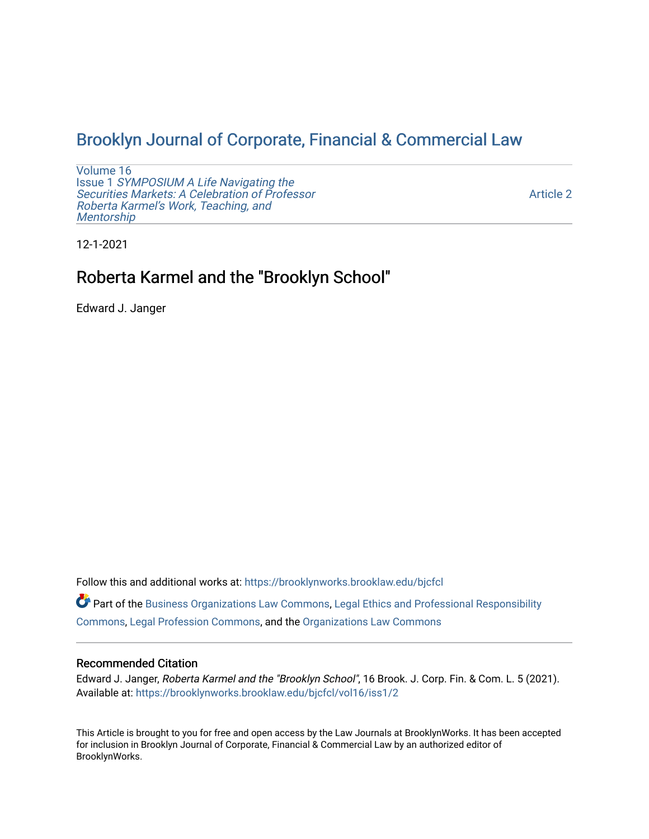## [Brooklyn Journal of Corporate, Financial & Commercial Law](https://brooklynworks.brooklaw.edu/bjcfcl)

[Volume 16](https://brooklynworks.brooklaw.edu/bjcfcl/vol16) Issue 1 [SYMPOSIUM A Life Navigating the](https://brooklynworks.brooklaw.edu/bjcfcl/vol16/iss1) [Securities Markets: A Celebration of Professor](https://brooklynworks.brooklaw.edu/bjcfcl/vol16/iss1) [Roberta Karmel's Work, Teaching, and](https://brooklynworks.brooklaw.edu/bjcfcl/vol16/iss1)  **Mentorship** 

[Article 2](https://brooklynworks.brooklaw.edu/bjcfcl/vol16/iss1/2) 

12-1-2021

# Roberta Karmel and the "Brooklyn School"

Edward J. Janger

Follow this and additional works at: [https://brooklynworks.brooklaw.edu/bjcfcl](https://brooklynworks.brooklaw.edu/bjcfcl?utm_source=brooklynworks.brooklaw.edu%2Fbjcfcl%2Fvol16%2Fiss1%2F2&utm_medium=PDF&utm_campaign=PDFCoverPages)

Part of the [Business Organizations Law Commons](http://network.bepress.com/hgg/discipline/900?utm_source=brooklynworks.brooklaw.edu%2Fbjcfcl%2Fvol16%2Fiss1%2F2&utm_medium=PDF&utm_campaign=PDFCoverPages), [Legal Ethics and Professional Responsibility](http://network.bepress.com/hgg/discipline/895?utm_source=brooklynworks.brooklaw.edu%2Fbjcfcl%2Fvol16%2Fiss1%2F2&utm_medium=PDF&utm_campaign=PDFCoverPages) [Commons](http://network.bepress.com/hgg/discipline/895?utm_source=brooklynworks.brooklaw.edu%2Fbjcfcl%2Fvol16%2Fiss1%2F2&utm_medium=PDF&utm_campaign=PDFCoverPages), [Legal Profession Commons,](http://network.bepress.com/hgg/discipline/1075?utm_source=brooklynworks.brooklaw.edu%2Fbjcfcl%2Fvol16%2Fiss1%2F2&utm_medium=PDF&utm_campaign=PDFCoverPages) and the [Organizations Law Commons](http://network.bepress.com/hgg/discipline/865?utm_source=brooklynworks.brooklaw.edu%2Fbjcfcl%2Fvol16%2Fiss1%2F2&utm_medium=PDF&utm_campaign=PDFCoverPages) 

#### Recommended Citation

Edward J. Janger, Roberta Karmel and the "Brooklyn School", 16 Brook. J. Corp. Fin. & Com. L. 5 (2021). Available at: [https://brooklynworks.brooklaw.edu/bjcfcl/vol16/iss1/2](https://brooklynworks.brooklaw.edu/bjcfcl/vol16/iss1/2?utm_source=brooklynworks.brooklaw.edu%2Fbjcfcl%2Fvol16%2Fiss1%2F2&utm_medium=PDF&utm_campaign=PDFCoverPages)

This Article is brought to you for free and open access by the Law Journals at BrooklynWorks. It has been accepted for inclusion in Brooklyn Journal of Corporate, Financial & Commercial Law by an authorized editor of BrooklynWorks.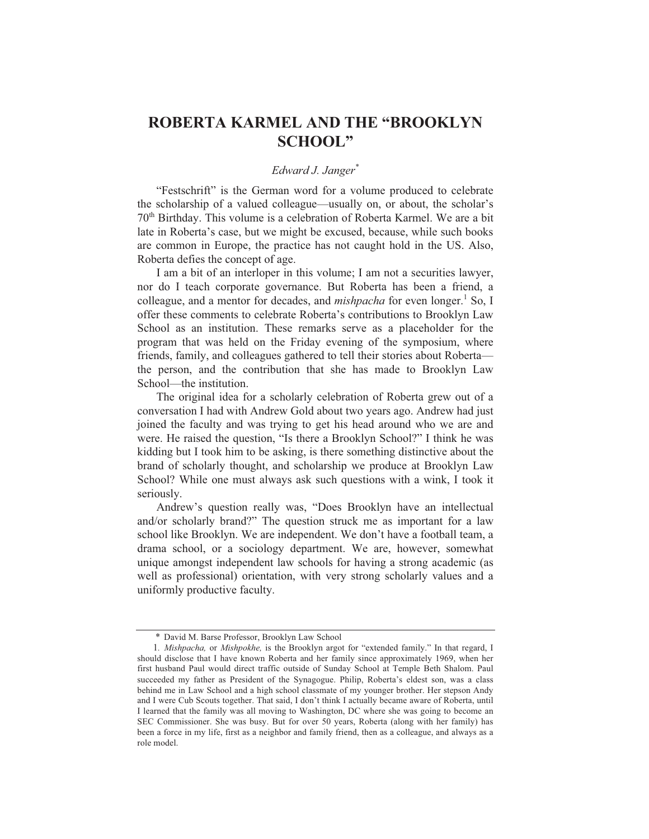### ROBERTA KARMEL AND THE "BROOKLYN **SCHOOL"**

### Edward J. Janger\*

"Festschrift" is the German word for a volume produced to celebrate the scholarship of a valued colleague—usually on, or about, the scholar's 70<sup>th</sup> Birthday. This volume is a celebration of Roberta Karmel. We are a bit late in Roberta's case, but we might be excused, because, while such books are common in Europe, the practice has not caught hold in the US. Also, Roberta defies the concept of age.

I am a bit of an interloper in this volume; I am not a securities lawyer, nor do I teach corporate governance. But Roberta has been a friend, a colleague, and a mentor for decades, and *mishpacha* for even longer.<sup>1</sup> So, I offer these comments to celebrate Roberta's contributions to Brooklyn Law School as an institution. These remarks serve as a placeholder for the program that was held on the Friday evening of the symposium, where friends, family, and colleagues gathered to tell their stories about Robertathe person, and the contribution that she has made to Brooklyn Law School—the institution.

The original idea for a scholarly celebration of Roberta grew out of a conversation I had with Andrew Gold about two years ago. Andrew had just joined the faculty and was trying to get his head around who we are and were. He raised the question, "Is there a Brooklyn School?" I think he was kidding but I took him to be asking, is there something distinctive about the brand of scholarly thought, and scholarship we produce at Brooklyn Law School? While one must always ask such questions with a wink, I took it seriously.

Andrew's question really was, "Does Brooklyn have an intellectual and/or scholarly brand?" The question struck me as important for a law school like Brooklyn. We are independent. We don't have a football team, a drama school, or a sociology department. We are, however, somewhat unique amongst independent law schools for having a strong academic (as well as professional) orientation, with very strong scholarly values and a uniformly productive faculty.

<sup>\*</sup> David M. Barse Professor, Brooklyn Law School

<sup>1.</sup> Mishpacha, or Mishpokhe, is the Brooklyn argot for "extended family." In that regard, I should disclose that I have known Roberta and her family since approximately 1969, when her first husband Paul would direct traffic outside of Sunday School at Temple Beth Shalom. Paul succeeded my father as President of the Synagogue. Philip, Roberta's eldest son, was a class behind me in Law School and a high school classmate of my younger brother. Her stepson Andy and I were Cub Scouts together. That said, I don't think I actually became aware of Roberta, until I learned that the family was all moving to Washington, DC where she was going to become an SEC Commissioner. She was busy. But for over 50 years, Roberta (along with her family) has been a force in my life, first as a neighbor and family friend, then as a colleague, and always as a role model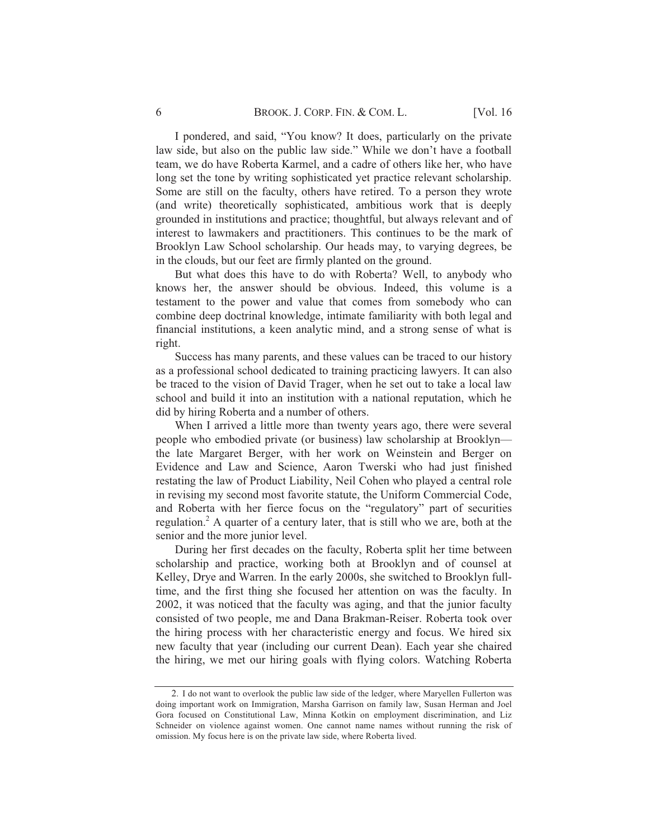I pondered, and said, "You know? It does, particularly on the private law side, but also on the public law side." While we don't have a football team, we do have Roberta Karmel, and a cadre of others like her, who have long set the tone by writing sophisticated yet practice relevant scholarship. Some are still on the faculty, others have retired. To a person they wrote (and write) theoretically sophisticated, ambitious work that is deeply grounded in institutions and practice; thoughtful, but always relevant and of interest to lawmakers and practitioners. This continues to be the mark of Brooklyn Law School scholarship. Our heads may, to varying degrees, be in the clouds, but our feet are firmly planted on the ground.

But what does this have to do with Roberta? Well, to anybody who knows her, the answer should be obvious. Indeed, this volume is a testament to the power and value that comes from somebody who can combine deep doctrinal knowledge, intimate familiarity with both legal and financial institutions, a keen analytic mind, and a strong sense of what is right.

Success has many parents, and these values can be traced to our history as a professional school dedicated to training practicing lawyers. It can also be traced to the vision of David Trager, when he set out to take a local law school and build it into an institution with a national reputation, which he did by hiring Roberta and a number of others.

When I arrived a little more than twenty years ago, there were several people who embodied private (or business) law scholarship at Brooklyn the late Margaret Berger, with her work on Weinstein and Berger on Evidence and Law and Science, Aaron Twerski who had just finished restating the law of Product Liability, Neil Cohen who played a central role in revising my second most favorite statute, the Uniform Commercial Code, and Roberta with her fierce focus on the "regulatory" part of securities regulation.<sup>2</sup> A quarter of a century later, that is still who we are, both at the senior and the more junior level.

During her first decades on the faculty, Roberta split her time between scholarship and practice, working both at Brooklyn and of counsel at Kelley, Drye and Warren. In the early 2000s, she switched to Brooklyn fulltime, and the first thing she focused her attention on was the faculty. In 2002, it was noticed that the faculty was aging, and that the junior faculty consisted of two people, me and Dana Brakman-Reiser. Roberta took over the hiring process with her characteristic energy and focus. We hired six new faculty that year (including our current Dean). Each year she chaired the hiring, we met our hiring goals with flying colors. Watching Roberta

<sup>2.</sup> I do not want to overlook the public law side of the ledger, where Maryellen Fullerton was doing important work on Immigration, Marsha Garrison on family law, Susan Herman and Joel Gora focused on Constitutional Law, Minna Kotkin on employment discrimination, and Liz Schneider on violence against women. One cannot name names without running the risk of omission. My focus here is on the private law side, where Roberta lived.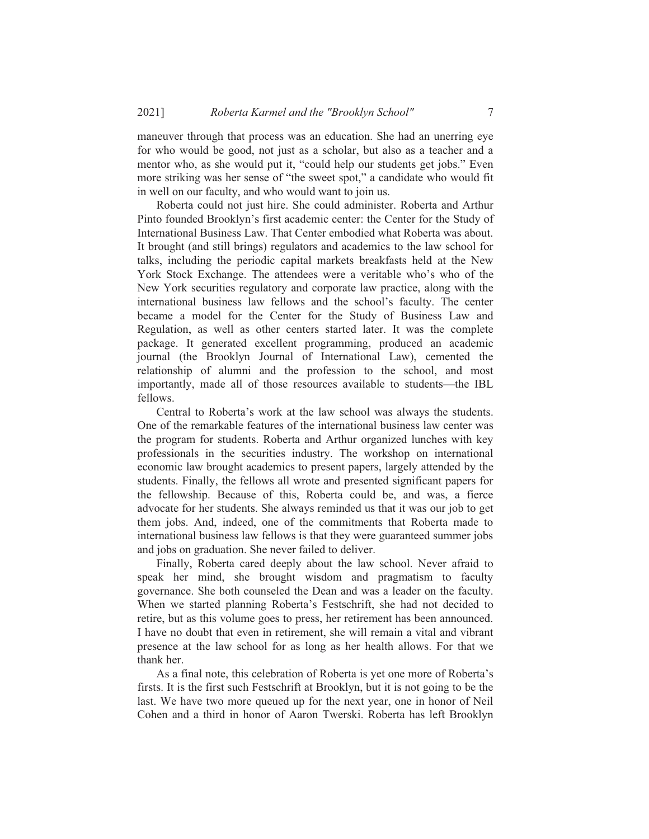maneuver through that process was an education. She had an unerring eye for who would be good, not just as a scholar, but also as a teacher and a mentor who, as she would put it, "could help our students get jobs." Even more striking was her sense of "the sweet spot," a candidate who would fit in well on our faculty, and who would want to join us.

Roberta could not just hire. She could administer. Roberta and Arthur Pinto founded Brooklyn's first academic center: the Center for the Study of International Business Law. That Center embodied what Roberta was about. It brought (and still brings) regulators and academics to the law school for talks, including the periodic capital markets breakfasts held at the New York Stock Exchange. The attendees were a veritable who's who of the New York securities regulatory and corporate law practice, along with the international business law fellows and the school's faculty. The center became a model for the Center for the Study of Business Law and Regulation, as well as other centers started later. It was the complete package. It generated excellent programming, produced an academic journal (the Brooklyn Journal of International Law), cemented the relationship of alumni and the profession to the school, and most importantly, made all of those resources available to students—the IBL fellows.

Central to Roberta's work at the law school was always the students. One of the remarkable features of the international business law center was the program for students. Roberta and Arthur organized lunches with key professionals in the securities industry. The workshop on international economic law brought academics to present papers, largely attended by the students. Finally, the fellows all wrote and presented significant papers for the fellowship. Because of this, Roberta could be, and was, a fierce advocate for her students. She always reminded us that it was our job to get them jobs. And, indeed, one of the commitments that Roberta made to international business law fellows is that they were guaranteed summer jobs and jobs on graduation. She never failed to deliver.

Finally, Roberta cared deeply about the law school. Never afraid to speak her mind, she brought wisdom and pragmatism to faculty governance. She both counseled the Dean and was a leader on the faculty. When we started planning Roberta's Festschrift, she had not decided to retire, but as this volume goes to press, her retirement has been announced. I have no doubt that even in retirement, she will remain a vital and vibrant presence at the law school for as long as her health allows. For that we thank her.

As a final note, this celebration of Roberta is yet one more of Roberta's firsts. It is the first such Festschrift at Brooklyn, but it is not going to be the last. We have two more queued up for the next year, one in honor of Neil Cohen and a third in honor of Aaron Twerski. Roberta has left Brooklyn